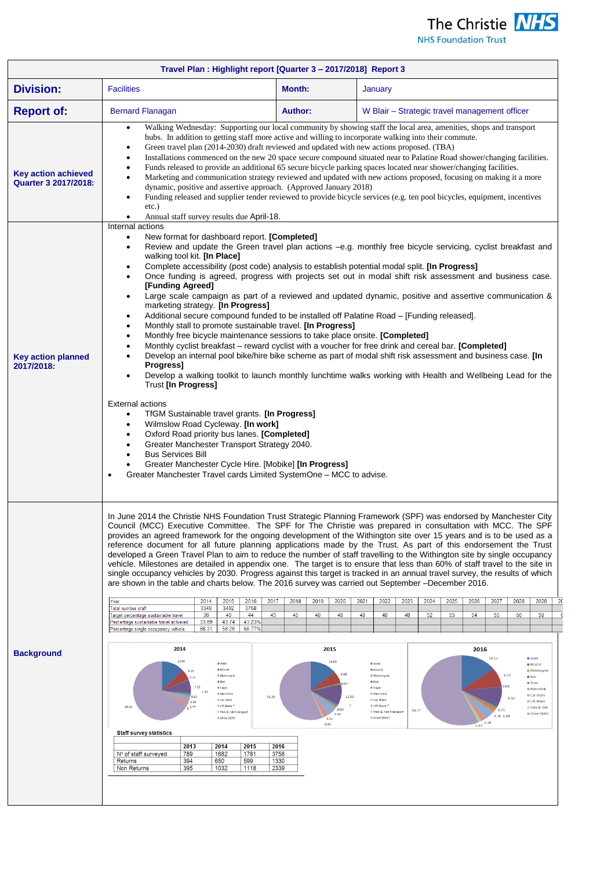

**NHS Foundation Trust** 

| Travel Plan: Highlight report [Quarter 3 - 2017/2018] Report 3 |                                                                                                                                                                                                                                                                                                                                                                                                                                                                                                                                                                                                                                                                                                                                                                                                                                                                                                                                                                                                                                                             |                                                                                |                                                                                                                                                                                                                                                                                                                                                                                                                                                                                                                                                                                                                                                                                                                                                                                                                                                                                                                                                                                                             |  |  |
|----------------------------------------------------------------|-------------------------------------------------------------------------------------------------------------------------------------------------------------------------------------------------------------------------------------------------------------------------------------------------------------------------------------------------------------------------------------------------------------------------------------------------------------------------------------------------------------------------------------------------------------------------------------------------------------------------------------------------------------------------------------------------------------------------------------------------------------------------------------------------------------------------------------------------------------------------------------------------------------------------------------------------------------------------------------------------------------------------------------------------------------|--------------------------------------------------------------------------------|-------------------------------------------------------------------------------------------------------------------------------------------------------------------------------------------------------------------------------------------------------------------------------------------------------------------------------------------------------------------------------------------------------------------------------------------------------------------------------------------------------------------------------------------------------------------------------------------------------------------------------------------------------------------------------------------------------------------------------------------------------------------------------------------------------------------------------------------------------------------------------------------------------------------------------------------------------------------------------------------------------------|--|--|
| <b>Division:</b>                                               | <b>Facilities</b>                                                                                                                                                                                                                                                                                                                                                                                                                                                                                                                                                                                                                                                                                                                                                                                                                                                                                                                                                                                                                                           | <b>Month:</b>                                                                  | January                                                                                                                                                                                                                                                                                                                                                                                                                                                                                                                                                                                                                                                                                                                                                                                                                                                                                                                                                                                                     |  |  |
| <b>Report of:</b>                                              | <b>Bernard Flanagan</b>                                                                                                                                                                                                                                                                                                                                                                                                                                                                                                                                                                                                                                                                                                                                                                                                                                                                                                                                                                                                                                     | <b>Author:</b>                                                                 | W Blair – Strategic travel management officer                                                                                                                                                                                                                                                                                                                                                                                                                                                                                                                                                                                                                                                                                                                                                                                                                                                                                                                                                               |  |  |
| <b>Key action achieved</b><br>Quarter 3 2017/2018:             | Walking Wednesday: Supporting our local community by showing staff the local area, amenities, shops and transport<br>$\bullet$<br>hubs. In addition to getting staff more active and willing to incorporate walking into their commute.<br>Green travel plan (2014-2030) draft reviewed and updated with new actions proposed. (TBA)<br>$\bullet$<br>Installations commenced on the new 20 space secure compound situated near to Palatine Road shower/changing facilities.<br>Funds released to provide an additional 65 secure bicycle parking spaces located near shower/changing facilities.<br>Marketing and communication strategy reviewed and updated with new actions proposed, focusing on making it a more<br>$\bullet$<br>dynamic, positive and assertive approach. (Approved January 2018)<br>Funding released and supplier tender reviewed to provide bicycle services (e.g. ten pool bicycles, equipment, incentives<br>$\bullet$<br>etc.)<br>Annual staff survey results due April-18.<br>٠                                                 |                                                                                |                                                                                                                                                                                                                                                                                                                                                                                                                                                                                                                                                                                                                                                                                                                                                                                                                                                                                                                                                                                                             |  |  |
| <b>Key action planned</b><br>2017/2018:                        | Internal actions<br>New format for dashboard report. [Completed]<br>$\bullet$<br>$\bullet$<br>walking tool kit. [In Place]<br>Complete accessibility (post code) analysis to establish potential modal split. [In Progress]<br>$\bullet$<br>$\bullet$<br>[Funding Agreed]<br>$\bullet$<br>marketing strategy. [In Progress]<br>Additional secure compound funded to be installed off Palatine Road - [Funding released].<br>$\bullet$<br>Monthly stall to promote sustainable travel. [In Progress]<br>٠<br>Monthly free bicycle maintenance sessions to take place onsite. [Completed]<br>$\bullet$<br>٠<br>Progress]<br>$\bullet$<br>Trust [In Progress]<br><b>External actions</b><br>TfGM Sustainable travel grants. [In Progress]<br>٠<br>Wilmslow Road Cycleway. [In work]<br>٠<br>Oxford Road priority bus lanes. [Completed]<br>$\bullet$<br>Greater Manchester Transport Strategy 2040.<br><b>Bus Services Bill</b><br>Greater Manchester Cycle Hire. [Mobike] [In Progress]<br>Greater Manchester Travel cards Limited SystemOne - MCC to advise. |                                                                                | Review and update the Green travel plan actions -e.g. monthly free bicycle servicing, cyclist breakfast and<br>Once funding is agreed, progress with projects set out in modal shift risk assessment and business case.<br>Large scale campaign as part of a reviewed and updated dynamic, positive and assertive communication &<br>Monthly cyclist breakfast - reward cyclist with a voucher for free drink and cereal bar. [Completed]<br>Develop an internal pool bike/hire bike scheme as part of modal shift risk assessment and business case. [In<br>Develop a walking toolkit to launch monthly lunchtime walks working with Health and Wellbeing Lead for the                                                                                                                                                                                                                                                                                                                                     |  |  |
| <b>Background</b>                                              | are shown in the table and charts below. The 2016 survey was carried out September -December 2016.<br>2017<br>2014<br>2015<br>2016<br>Year<br>Total number staff<br>3349<br>3492<br>3758<br>36<br>40<br>44<br>45<br>Target percentage sustainable travel<br>43.23%<br>33.69<br>43.74<br>Percentage sustainable travel achieved<br>66.31<br>56.26<br>56.77%<br>Percentage single occupancy vehicle<br>2014                                                                                                                                                                                                                                                                                                                                                                                                                                                                                                                                                                                                                                                   | 2018<br>2019<br>2020<br>45<br>48<br>48<br>2015                                 | In June 2014 the Christie NHS Foundation Trust Strategic Planning Framework (SPF) was endorsed by Manchester City<br>Council (MCC) Executive Committee. The SPF for The Christie was prepared in consultation with MCC. The SPF<br>provides an agreed framework for the ongoing development of the Withington site over 15 years and is to be used as a<br>reference document for all future planning applications made by the Trust. As part of this endorsement the Trust<br>developed a Green Travel Plan to aim to reduce the number of staff travelling to the Withington site by single occupancy<br>vehicle. Milestones are detailed in appendix one. The target is to ensure that less than 60% of staff travel to the site in<br>single occupancy vehicles by 2030. Progress against this target is tracked in an annual travel survey, the results of which<br>2021<br>2022<br>2023<br>2027<br>2024<br>2025<br>2026<br>2028<br>2029<br>48<br>48<br>52<br>53<br>54<br>55<br>56<br>58<br>48<br>2016 |  |  |
|                                                                | 12.62<br>II Walk<br><b>Bicycle</b><br><b>II</b> Motorcycl<br><b>III</b> Bus<br><b>II</b> Train<br>1.23<br><b>Netrolink</b><br>0.62<br>56.26<br><b>E</b> Car share<br>2.92<br>II Lift share<br>66.31<br>2.77<br>Park & ride transport<br><b>III Drive (SOV)</b><br><b>Staff survey statistics</b><br>2015<br>2013<br>2014<br>Nº of staff surveyed<br>789<br>1682<br>1781<br>650<br>599<br>Returns<br>394<br>Non Returns<br>395<br>1032<br>1118                                                                                                                                                                                                                                                                                                                                                                                                                                                                                                                                                                                                               | 14.02<br>11.52<br>0.83<br>5.34<br>3.01<br>0.67<br>2016<br>3758<br>1330<br>2339 | 14.51<br>$\equiv$ Walk<br><b>Wall</b><br><b>Bicycle</b><br><b>Bicycle</b><br>Motorcycle<br><b>III</b> Motorcycle<br>8.72<br>Bus<br><b>III</b> Bus<br>Trian<br>LO <sub>R</sub><br><b>Train</b><br>Metric<br><b>Metrolink</b><br>Car share<br>9.32<br><b>E</b> Car share<br>Lift Share<br>Lift share<br>Park & ride<br>0.75<br>56.77<br>Park & ride transport<br>Drive (SOV)<br>4.36 1.88<br><b>III Drive (SOV)</b><br>$1.43$ <sup>2.18</sup>                                                                                                                                                                                                                                                                                                                                                                                                                                                                                                                                                                 |  |  |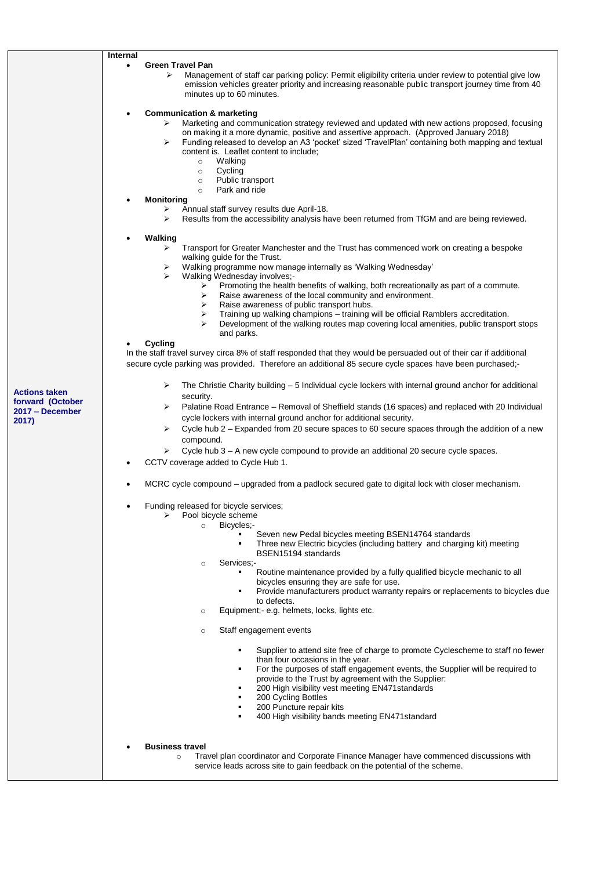|                                          | Internal                                                                                                                                                                                                                                                                                                                                                                                                                                                            |  |
|------------------------------------------|---------------------------------------------------------------------------------------------------------------------------------------------------------------------------------------------------------------------------------------------------------------------------------------------------------------------------------------------------------------------------------------------------------------------------------------------------------------------|--|
|                                          | <b>Green Travel Pan</b><br>$\bullet$                                                                                                                                                                                                                                                                                                                                                                                                                                |  |
|                                          | Management of staff car parking policy: Permit eligibility criteria under review to potential give low<br>⋗<br>emission vehicles greater priority and increasing reasonable public transport journey time from 40<br>minutes up to 60 minutes.                                                                                                                                                                                                                      |  |
|                                          | <b>Communication &amp; marketing</b><br>Marketing and communication strategy reviewed and updated with new actions proposed, focusing<br>➤<br>on making it a more dynamic, positive and assertive approach. (Approved January 2018)<br>Funding released to develop an A3 'pocket' sized 'TravelPlan' containing both mapping and textual<br>➤<br>content is. Leaflet content to include;<br>Walking<br>$\circ$<br>Cycling<br>$\circ$<br>Public transport<br>$\circ$ |  |
|                                          | Park and ride<br>$\circ$                                                                                                                                                                                                                                                                                                                                                                                                                                            |  |
|                                          | <b>Monitoring</b><br>Annual staff survey results due April-18.<br>➤<br>Results from the accessibility analysis have been returned from TfGM and are being reviewed.<br>⋗                                                                                                                                                                                                                                                                                            |  |
|                                          | Walking<br>Transport for Greater Manchester and the Trust has commenced work on creating a bespoke<br>⋗<br>walking guide for the Trust.<br>Walking programme now manage internally as 'Walking Wednesday'<br>➤<br>Walking Wednesday involves;-<br>⋗<br>Promoting the health benefits of walking, both recreationally as part of a commute.<br>➤                                                                                                                     |  |
|                                          | ➤<br>Raise awareness of the local community and environment.<br>Raise awareness of public transport hubs.<br>➤<br>Training up walking champions - training will be official Ramblers accreditation.<br>➤<br>Development of the walking routes map covering local amenities, public transport stops<br>and parks.                                                                                                                                                    |  |
|                                          | Cycling<br>In the staff travel survey circa 8% of staff responded that they would be persuaded out of their car if additional<br>secure cycle parking was provided. Therefore an additional 85 secure cycle spaces have been purchased;-                                                                                                                                                                                                                            |  |
| <b>Actions taken</b><br>forward (October | The Christie Charity building – 5 Individual cycle lockers with internal ground anchor for additional<br>⋗<br>security.                                                                                                                                                                                                                                                                                                                                             |  |
| 2017 – December<br>2017)                 | Palatine Road Entrance – Removal of Sheffield stands (16 spaces) and replaced with 20 Individual<br>⋗<br>cycle lockers with internal ground anchor for additional security.<br>Cycle hub 2 - Expanded from 20 secure spaces to 60 secure spaces through the addition of a new<br>⋗                                                                                                                                                                                  |  |
|                                          | compound.                                                                                                                                                                                                                                                                                                                                                                                                                                                           |  |
|                                          | Cycle hub 3 – A new cycle compound to provide an additional 20 secure cycle spaces.<br>➤                                                                                                                                                                                                                                                                                                                                                                            |  |
|                                          | CCTV coverage added to Cycle Hub 1.                                                                                                                                                                                                                                                                                                                                                                                                                                 |  |
|                                          | MCRC cycle compound – upgraded from a padlock secured gate to digital lock with closer mechanism.                                                                                                                                                                                                                                                                                                                                                                   |  |
|                                          | Funding released for bicycle services;<br>$\bullet$<br>Pool bicycle scheme<br>Bicycles;-<br>$\circ$                                                                                                                                                                                                                                                                                                                                                                 |  |
|                                          | Seven new Pedal bicycles meeting BSEN14764 standards<br>Three new Electric bicycles (including battery and charging kit) meeting<br>BSEN15194 standards                                                                                                                                                                                                                                                                                                             |  |
|                                          | Services:-<br>$\circ$<br>Routine maintenance provided by a fully qualified bicycle mechanic to all<br>bicycles ensuring they are safe for use.<br>Provide manufacturers product warranty repairs or replacements to bicycles due                                                                                                                                                                                                                                    |  |
|                                          | to defects.<br>Equipment;- e.g. helmets, locks, lights etc.<br>$\circ$                                                                                                                                                                                                                                                                                                                                                                                              |  |
|                                          | Staff engagement events<br>$\circ$                                                                                                                                                                                                                                                                                                                                                                                                                                  |  |
|                                          | Supplier to attend site free of charge to promote Cyclescheme to staff no fewer                                                                                                                                                                                                                                                                                                                                                                                     |  |
|                                          | than four occasions in the year.<br>For the purposes of staff engagement events, the Supplier will be required to<br>provide to the Trust by agreement with the Supplier:<br>200 High visibility vest meeting EN471standards                                                                                                                                                                                                                                        |  |
|                                          | 200 Cycling Bottles<br>200 Puncture repair kits<br>400 High visibility bands meeting EN471standard<br>٠                                                                                                                                                                                                                                                                                                                                                             |  |
|                                          | <b>Business travel</b>                                                                                                                                                                                                                                                                                                                                                                                                                                              |  |
|                                          | Travel plan coordinator and Corporate Finance Manager have commenced discussions with<br>$\circ$<br>service leads across site to gain feedback on the potential of the scheme.                                                                                                                                                                                                                                                                                      |  |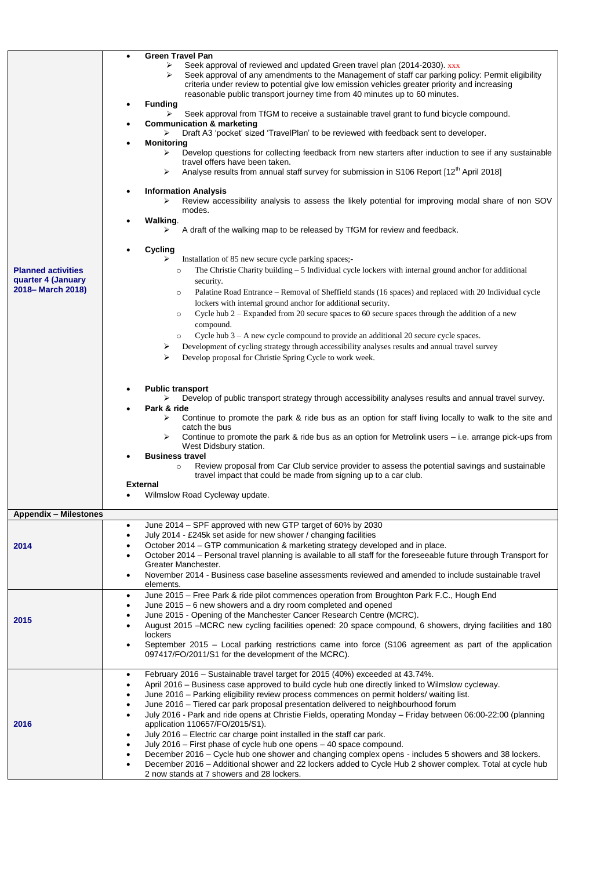| <b>Planned activities</b><br>quarter 4 (January<br>2018-March 2018) | <b>Green Travel Pan</b><br>Seek approval of reviewed and updated Green travel plan (2014-2030). xxx<br>➤<br>Seek approval of any amendments to the Management of staff car parking policy: Permit eligibility<br>⋗<br>criteria under review to potential give low emission vehicles greater priority and increasing<br>reasonable public transport journey time from 40 minutes up to 60 minutes.<br><b>Funding</b><br>Seek approval from TfGM to receive a sustainable travel grant to fund bicycle compound.<br><b>Communication &amp; marketing</b><br>Draft A3 'pocket' sized 'TravelPlan' to be reviewed with feedback sent to developer.<br>➤<br><b>Monitoring</b><br>Develop questions for collecting feedback from new starters after induction to see if any sustainable<br>➤<br>travel offers have been taken.<br>Analyse results from annual staff survey for submission in S106 Report [12 <sup>th</sup> April 2018]<br>➤<br><b>Information Analysis</b><br>Review accessibility analysis to assess the likely potential for improving modal share of non SOV<br>➤<br>modes.<br>Walking.<br>A draft of the walking map to be released by TfGM for review and feedback.<br>➤<br>Cycling<br>Installation of 85 new secure cycle parking spaces;-<br>⋗<br>The Christie Charity building $-5$ Individual cycle lockers with internal ground anchor for additional<br>$\circ$<br>security.<br>Palatine Road Entrance – Removal of Sheffield stands (16 spaces) and replaced with 20 Individual cycle<br>$\circ$<br>lockers with internal ground anchor for additional security.<br>Cycle hub $2 -$ Expanded from 20 secure spaces to 60 secure spaces through the addition of a new<br>$\circ$<br>compound.<br>Cycle hub 3 - A new cycle compound to provide an additional 20 secure cycle spaces.<br>$\circ$<br>Development of cycling strategy through accessibility analyses results and annual travel survey<br>➤<br>➤<br>Develop proposal for Christie Spring Cycle to work week.<br><b>Public transport</b><br>Develop of public transport strategy through accessibility analyses results and annual travel survey.<br>➤<br>Park & ride<br>Continue to promote the park & ride bus as an option for staff living locally to walk to the site and<br>≻<br>catch the bus<br>Continue to promote the park & ride bus as an option for Metrolink users – i.e. arrange pick-ups from<br>West Didsbury station.<br><b>Business travel</b><br>Review proposal from Car Club service provider to assess the potential savings and sustainable<br>$\circ$<br>travel impact that could be made from signing up to a car club.<br><b>External</b><br>Wilmslow Road Cycleway update. |
|---------------------------------------------------------------------|----------------------------------------------------------------------------------------------------------------------------------------------------------------------------------------------------------------------------------------------------------------------------------------------------------------------------------------------------------------------------------------------------------------------------------------------------------------------------------------------------------------------------------------------------------------------------------------------------------------------------------------------------------------------------------------------------------------------------------------------------------------------------------------------------------------------------------------------------------------------------------------------------------------------------------------------------------------------------------------------------------------------------------------------------------------------------------------------------------------------------------------------------------------------------------------------------------------------------------------------------------------------------------------------------------------------------------------------------------------------------------------------------------------------------------------------------------------------------------------------------------------------------------------------------------------------------------------------------------------------------------------------------------------------------------------------------------------------------------------------------------------------------------------------------------------------------------------------------------------------------------------------------------------------------------------------------------------------------------------------------------------------------------------------------------------------------------------------------------------------------------------------------------------------------------------------------------------------------------------------------------------------------------------------------------------------------------------------------------------------------------------------------------------------------------------------------------------------------------------------------------------------------------------------------------------------------------------------------------------------------------------------------------------------------------------|
|                                                                     |                                                                                                                                                                                                                                                                                                                                                                                                                                                                                                                                                                                                                                                                                                                                                                                                                                                                                                                                                                                                                                                                                                                                                                                                                                                                                                                                                                                                                                                                                                                                                                                                                                                                                                                                                                                                                                                                                                                                                                                                                                                                                                                                                                                                                                                                                                                                                                                                                                                                                                                                                                                                                                                                                        |
| <b>Appendix - Milestones</b>                                        |                                                                                                                                                                                                                                                                                                                                                                                                                                                                                                                                                                                                                                                                                                                                                                                                                                                                                                                                                                                                                                                                                                                                                                                                                                                                                                                                                                                                                                                                                                                                                                                                                                                                                                                                                                                                                                                                                                                                                                                                                                                                                                                                                                                                                                                                                                                                                                                                                                                                                                                                                                                                                                                                                        |
| 2014                                                                | June 2014 - SPF approved with new GTP target of 60% by 2030<br>$\bullet$<br>July 2014 - £245k set aside for new shower / changing facilities<br>$\bullet$<br>October 2014 - GTP communication & marketing strategy developed and in place.<br>October 2014 - Personal travel planning is available to all staff for the foreseeable future through Transport for<br>Greater Manchester.<br>November 2014 - Business case baseline assessments reviewed and amended to include sustainable travel<br>$\bullet$<br>elements.                                                                                                                                                                                                                                                                                                                                                                                                                                                                                                                                                                                                                                                                                                                                                                                                                                                                                                                                                                                                                                                                                                                                                                                                                                                                                                                                                                                                                                                                                                                                                                                                                                                                                                                                                                                                                                                                                                                                                                                                                                                                                                                                                             |
| 2015                                                                | June 2015 - Free Park & ride pilot commences operation from Broughton Park F.C., Hough End<br>$\bullet$<br>June 2015 - 6 new showers and a dry room completed and opened<br>$\bullet$<br>June 2015 - Opening of the Manchester Cancer Research Centre (MCRC).<br>$\bullet$<br>August 2015 - MCRC new cycling facilities opened: 20 space compound, 6 showers, drying facilities and 180<br>$\bullet$<br>lockers<br>September 2015 - Local parking restrictions came into force (S106 agreement as part of the application<br>$\bullet$<br>097417/FO/2011/S1 for the development of the MCRC).                                                                                                                                                                                                                                                                                                                                                                                                                                                                                                                                                                                                                                                                                                                                                                                                                                                                                                                                                                                                                                                                                                                                                                                                                                                                                                                                                                                                                                                                                                                                                                                                                                                                                                                                                                                                                                                                                                                                                                                                                                                                                          |
| 2016                                                                | February 2016 - Sustainable travel target for 2015 (40%) exceeded at 43.74%.<br>٠<br>April 2016 - Business case approved to build cycle hub one directly linked to Wilmslow cycleway.<br>June 2016 – Parking eligibility review process commences on permit holders/ waiting list.<br>June 2016 – Tiered car park proposal presentation delivered to neighbourhood forum<br>$\bullet$<br>July 2016 - Park and ride opens at Christie Fields, operating Monday - Friday between 06:00-22:00 (planning<br>$\bullet$<br>application 110657/FO/2015/S1).<br>July 2016 - Electric car charge point installed in the staff car park.<br>$\bullet$<br>July 2016 - First phase of cycle hub one opens - 40 space compound.<br>December 2016 – Cycle hub one shower and changing complex opens - includes 5 showers and 38 lockers.<br>٠<br>December 2016 – Additional shower and 22 lockers added to Cycle Hub 2 shower complex. Total at cycle hub<br>$\bullet$<br>2 now stands at 7 showers and 28 lockers.                                                                                                                                                                                                                                                                                                                                                                                                                                                                                                                                                                                                                                                                                                                                                                                                                                                                                                                                                                                                                                                                                                                                                                                                                                                                                                                                                                                                                                                                                                                                                                                                                                                                                  |